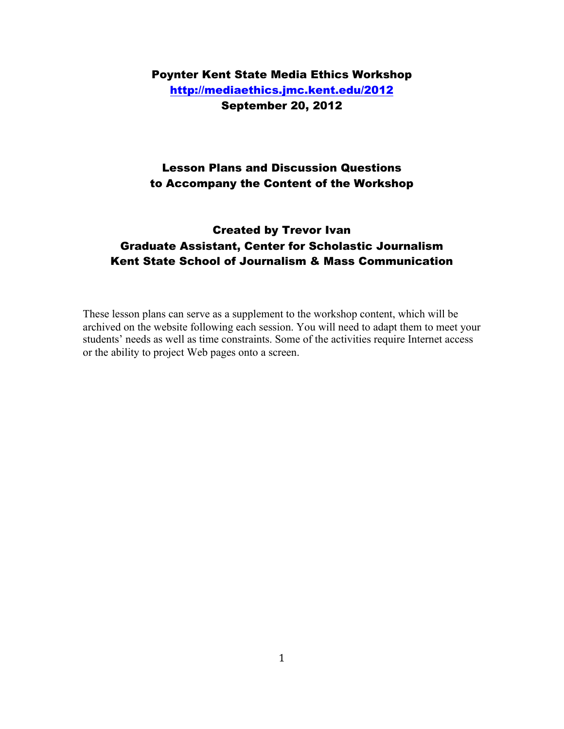# Poynter Kent State Media Ethics Workshop http://mediaethics.jmc.kent.edu/2012 September 20, 2012

# Lesson Plans and Discussion Questions to Accompany the Content of the Workshop

# Created by Trevor Ivan Graduate Assistant, Center for Scholastic Journalism Kent State School of Journalism & Mass Communication

These lesson plans can serve as a supplement to the workshop content, which will be archived on the website following each session. You will need to adapt them to meet your students' needs as well as time constraints. Some of the activities require Internet access or the ability to project Web pages onto a screen.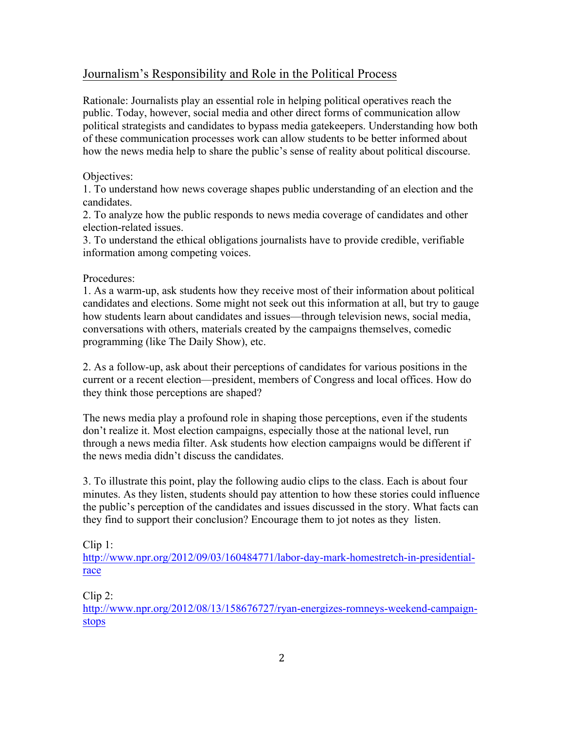### Journalism's Responsibility and Role in the Political Process

Rationale: Journalists play an essential role in helping political operatives reach the public. Today, however, social media and other direct forms of communication allow political strategists and candidates to bypass media gatekeepers. Understanding how both of these communication processes work can allow students to be better informed about how the news media help to share the public's sense of reality about political discourse.

### Objectives:

1. To understand how news coverage shapes public understanding of an election and the candidates.

2. To analyze how the public responds to news media coverage of candidates and other election-related issues.

3. To understand the ethical obligations journalists have to provide credible, verifiable information among competing voices.

### Procedures:

1. As a warm-up, ask students how they receive most of their information about political candidates and elections. Some might not seek out this information at all, but try to gauge how students learn about candidates and issues—through television news, social media, conversations with others, materials created by the campaigns themselves, comedic programming (like The Daily Show), etc.

2. As a follow-up, ask about their perceptions of candidates for various positions in the current or a recent election—president, members of Congress and local offices. How do they think those perceptions are shaped?

The news media play a profound role in shaping those perceptions, even if the students don't realize it. Most election campaigns, especially those at the national level, run through a news media filter. Ask students how election campaigns would be different if the news media didn't discuss the candidates.

3. To illustrate this point, play the following audio clips to the class. Each is about four minutes. As they listen, students should pay attention to how these stories could influence the public's perception of the candidates and issues discussed in the story. What facts can they find to support their conclusion? Encourage them to jot notes as they listen.

### Clip 1:

http://www.npr.org/2012/09/03/160484771/labor-day-mark-homestretch-in-presidentialrace

Clip 2:

http://www.npr.org/2012/08/13/158676727/ryan-energizes-romneys-weekend-campaignstops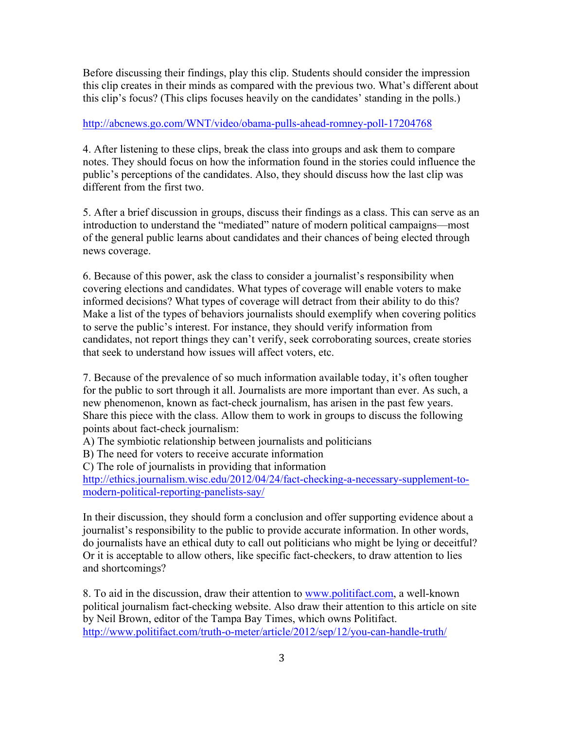Before discussing their findings, play this clip. Students should consider the impression this clip creates in their minds as compared with the previous two. What's different about this clip's focus? (This clips focuses heavily on the candidates' standing in the polls.)

#### http://abcnews.go.com/WNT/video/obama-pulls-ahead-romney-poll-17204768

4. After listening to these clips, break the class into groups and ask them to compare notes. They should focus on how the information found in the stories could influence the public's perceptions of the candidates. Also, they should discuss how the last clip was different from the first two.

5. After a brief discussion in groups, discuss their findings as a class. This can serve as an introduction to understand the "mediated" nature of modern political campaigns—most of the general public learns about candidates and their chances of being elected through news coverage.

6. Because of this power, ask the class to consider a journalist's responsibility when covering elections and candidates. What types of coverage will enable voters to make informed decisions? What types of coverage will detract from their ability to do this? Make a list of the types of behaviors journalists should exemplify when covering politics to serve the public's interest. For instance, they should verify information from candidates, not report things they can't verify, seek corroborating sources, create stories that seek to understand how issues will affect voters, etc.

7. Because of the prevalence of so much information available today, it's often tougher for the public to sort through it all. Journalists are more important than ever. As such, a new phenomenon, known as fact-check journalism, has arisen in the past few years. Share this piece with the class. Allow them to work in groups to discuss the following points about fact-check journalism:

- A) The symbiotic relationship between journalists and politicians
- B) The need for voters to receive accurate information

C) The role of journalists in providing that information

http://ethics.journalism.wisc.edu/2012/04/24/fact-checking-a-necessary-supplement-tomodern-political-reporting-panelists-say/

In their discussion, they should form a conclusion and offer supporting evidence about a journalist's responsibility to the public to provide accurate information. In other words, do journalists have an ethical duty to call out politicians who might be lying or deceitful? Or it is acceptable to allow others, like specific fact-checkers, to draw attention to lies and shortcomings?

8. To aid in the discussion, draw their attention to www.politifact.com, a well-known political journalism fact-checking website. Also draw their attention to this article on site by Neil Brown, editor of the Tampa Bay Times, which owns Politifact. http://www.politifact.com/truth-o-meter/article/2012/sep/12/you-can-handle-truth/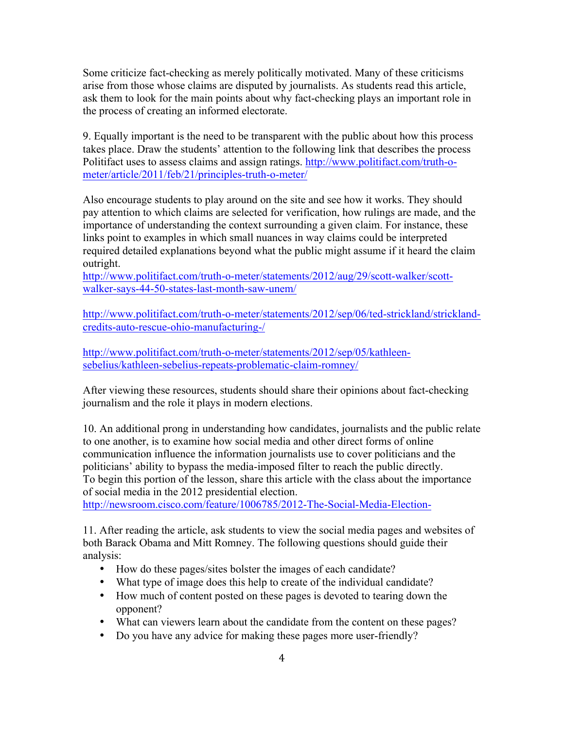Some criticize fact-checking as merely politically motivated. Many of these criticisms arise from those whose claims are disputed by journalists. As students read this article, ask them to look for the main points about why fact-checking plays an important role in the process of creating an informed electorate.

9. Equally important is the need to be transparent with the public about how this process takes place. Draw the students' attention to the following link that describes the process Politifact uses to assess claims and assign ratings. http://www.politifact.com/truth-ometer/article/2011/feb/21/principles-truth-o-meter/

Also encourage students to play around on the site and see how it works. They should pay attention to which claims are selected for verification, how rulings are made, and the importance of understanding the context surrounding a given claim. For instance, these links point to examples in which small nuances in way claims could be interpreted required detailed explanations beyond what the public might assume if it heard the claim outright.

http://www.politifact.com/truth-o-meter/statements/2012/aug/29/scott-walker/scottwalker-says-44-50-states-last-month-saw-unem/

http://www.politifact.com/truth-o-meter/statements/2012/sep/06/ted-strickland/stricklandcredits-auto-rescue-ohio-manufacturing-/

http://www.politifact.com/truth-o-meter/statements/2012/sep/05/kathleensebelius/kathleen-sebelius-repeats-problematic-claim-romney/

After viewing these resources, students should share their opinions about fact-checking journalism and the role it plays in modern elections.

10. An additional prong in understanding how candidates, journalists and the public relate to one another, is to examine how social media and other direct forms of online communication influence the information journalists use to cover politicians and the politicians' ability to bypass the media-imposed filter to reach the public directly. To begin this portion of the lesson, share this article with the class about the importance of social media in the 2012 presidential election.

http://newsroom.cisco.com/feature/1006785/2012-The-Social-Media-Election-

11. After reading the article, ask students to view the social media pages and websites of both Barack Obama and Mitt Romney. The following questions should guide their analysis:

- How do these pages/sites bolster the images of each candidate?
- What type of image does this help to create of the individual candidate?
- How much of content posted on these pages is devoted to tearing down the opponent?
- What can viewers learn about the candidate from the content on these pages?
- Do you have any advice for making these pages more user-friendly?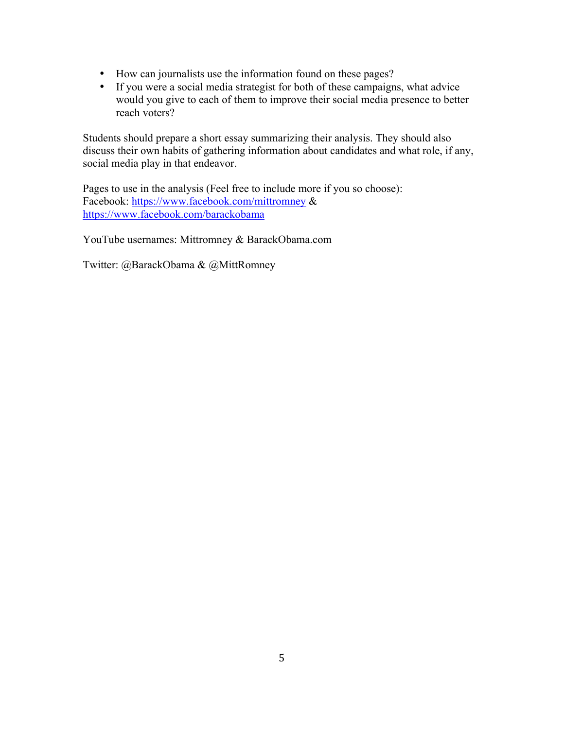- How can journalists use the information found on these pages?
- If you were a social media strategist for both of these campaigns, what advice would you give to each of them to improve their social media presence to better reach voters?

Students should prepare a short essay summarizing their analysis. They should also discuss their own habits of gathering information about candidates and what role, if any, social media play in that endeavor.

Pages to use in the analysis (Feel free to include more if you so choose): Facebook: https://www.facebook.com/mittromney & https://www.facebook.com/barackobama

YouTube usernames: Mittromney & BarackObama.com

Twitter: @BarackObama & @MittRomney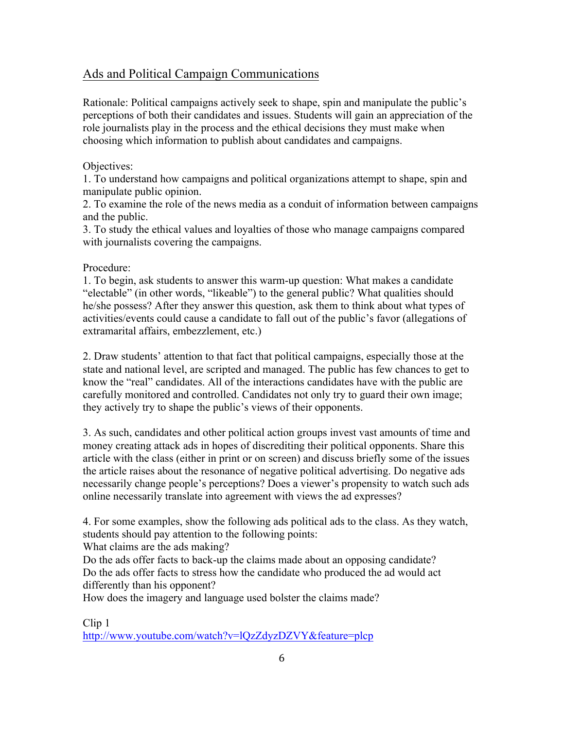# Ads and Political Campaign Communications

Rationale: Political campaigns actively seek to shape, spin and manipulate the public's perceptions of both their candidates and issues. Students will gain an appreciation of the role journalists play in the process and the ethical decisions they must make when choosing which information to publish about candidates and campaigns.

### Objectives:

1. To understand how campaigns and political organizations attempt to shape, spin and manipulate public opinion.

2. To examine the role of the news media as a conduit of information between campaigns and the public.

3. To study the ethical values and loyalties of those who manage campaigns compared with journalists covering the campaigns.

### Procedure:

1. To begin, ask students to answer this warm-up question: What makes a candidate "electable" (in other words, "likeable") to the general public? What qualities should he/she possess? After they answer this question, ask them to think about what types of activities/events could cause a candidate to fall out of the public's favor (allegations of extramarital affairs, embezzlement, etc.)

2. Draw students' attention to that fact that political campaigns, especially those at the state and national level, are scripted and managed. The public has few chances to get to know the "real" candidates. All of the interactions candidates have with the public are carefully monitored and controlled. Candidates not only try to guard their own image; they actively try to shape the public's views of their opponents.

3. As such, candidates and other political action groups invest vast amounts of time and money creating attack ads in hopes of discrediting their political opponents. Share this article with the class (either in print or on screen) and discuss briefly some of the issues the article raises about the resonance of negative political advertising. Do negative ads necessarily change people's perceptions? Does a viewer's propensity to watch such ads online necessarily translate into agreement with views the ad expresses?

4. For some examples, show the following ads political ads to the class. As they watch, students should pay attention to the following points:

What claims are the ads making?

Do the ads offer facts to back-up the claims made about an opposing candidate? Do the ads offer facts to stress how the candidate who produced the ad would act differently than his opponent?

How does the imagery and language used bolster the claims made?

Clip 1

http://www.youtube.com/watch?v=lQzZdyzDZVY&feature=plcp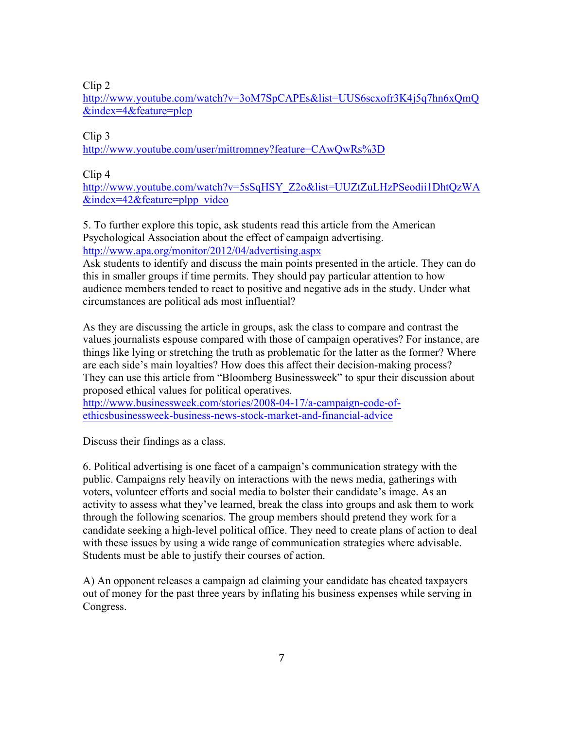Clip 2

http://www.youtube.com/watch?v=3oM7SpCAPEs&list=UUS6scxofr3K4j5q7hn6xQmQ &index=4&feature=plcp

Clip 3 http://www.youtube.com/user/mittromney?feature=CAwQwRs%3D

Clip 4

http://www.youtube.com/watch?v=5sSqHSY\_Z2o&list=UUZtZuLHzPSeodii1DhtQzWA  $&index=42&feature=plpp$  video

5. To further explore this topic, ask students read this article from the American Psychological Association about the effect of campaign advertising. http://www.apa.org/monitor/2012/04/advertising.aspx

Ask students to identify and discuss the main points presented in the article. They can do this in smaller groups if time permits. They should pay particular attention to how audience members tended to react to positive and negative ads in the study. Under what circumstances are political ads most influential?

As they are discussing the article in groups, ask the class to compare and contrast the values journalists espouse compared with those of campaign operatives? For instance, are things like lying or stretching the truth as problematic for the latter as the former? Where are each side's main loyalties? How does this affect their decision-making process? They can use this article from "Bloomberg Businessweek" to spur their discussion about proposed ethical values for political operatives.

http://www.businessweek.com/stories/2008-04-17/a-campaign-code-ofethicsbusinessweek-business-news-stock-market-and-financial-advice

Discuss their findings as a class.

6. Political advertising is one facet of a campaign's communication strategy with the public. Campaigns rely heavily on interactions with the news media, gatherings with voters, volunteer efforts and social media to bolster their candidate's image. As an activity to assess what they've learned, break the class into groups and ask them to work through the following scenarios. The group members should pretend they work for a candidate seeking a high-level political office. They need to create plans of action to deal with these issues by using a wide range of communication strategies where advisable. Students must be able to justify their courses of action.

A) An opponent releases a campaign ad claiming your candidate has cheated taxpayers out of money for the past three years by inflating his business expenses while serving in Congress.